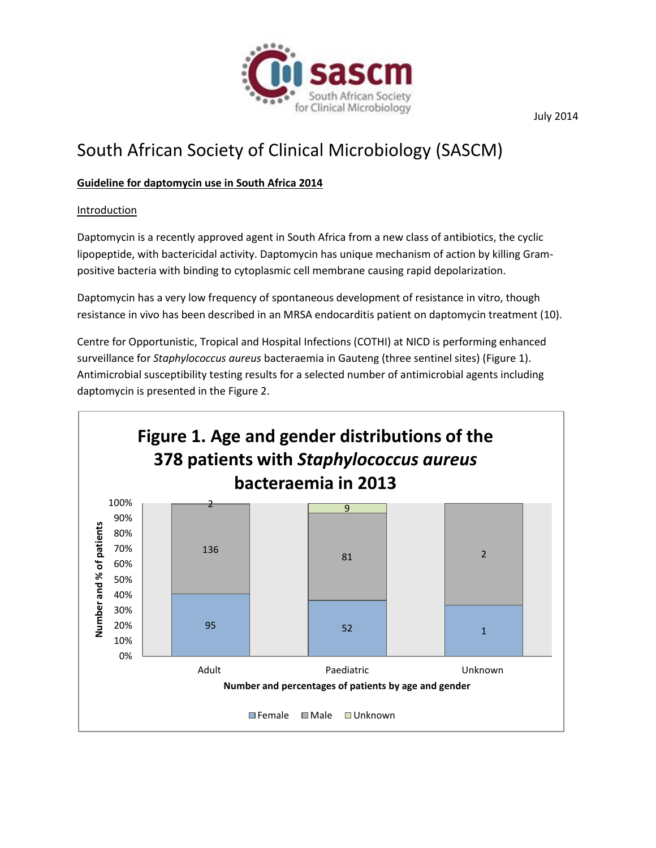

# South African Society of Clinical Microbiology (SASCM)

#### **Guideline for daptomycin use in South Africa 2014**

**Introduction** 

Daptomycin is a recently approved agent in South Africa from a new class of antibiotics, the cyclic lipopeptide, with bactericidal activity. Daptomycin has unique mechanism of action by killing Grampositive bacteria with binding to cytoplasmic cell membrane causing rapid depolarization.

Daptomycin has a very low frequency of spontaneous development of resistance in vitro, though resistance in vivo has been described in an MRSA endocarditis patient on daptomycin treatment (10).

Centre for Opportunistic, Tropical and Hospital Infections (COTHI) at NICD is performing enhanced surveillance for *Staphylococcus aureus* bacteraemia in Gauteng (three sentinel sites) (Figure 1). Antimicrobial susceptibility testing results for a selected number of antimicrobial agents including daptomycin is presented in the Figure 2.



July 2014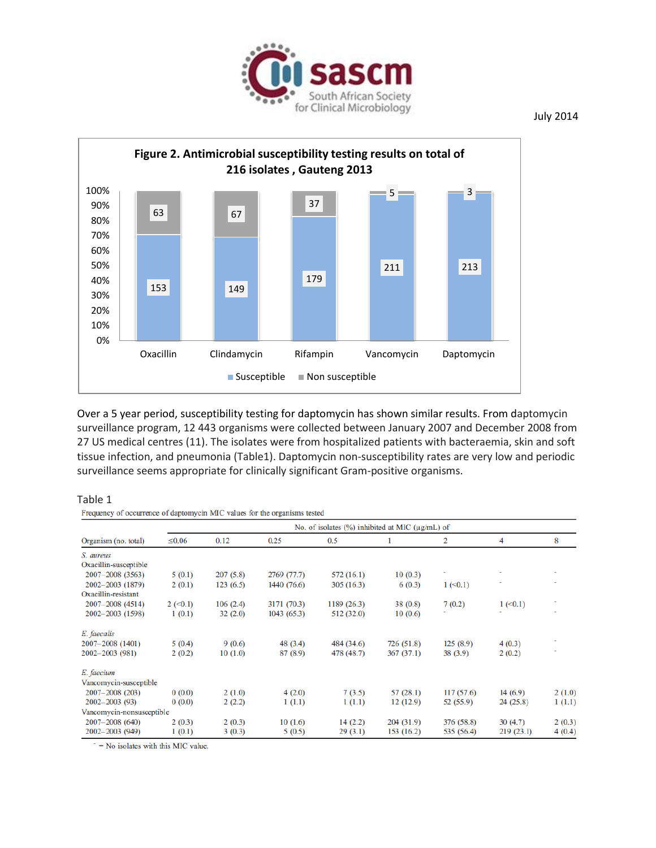



Over a 5 year period, susceptibility testing for daptomycin has shown similar results. From daptomycin surveillance program, 12 443 organisms were collected between January 2007 and December 2008 from 27 US medical centres (11). The isolates were from hospitalized patients with bacteraemia, skin and soft tissue infection, and pneumonia (Table1). Daptomycin non-susceptibility rates are very low and periodic surveillance seems appropriate for clinically significant Gram-positive organisms.

#### Table 1

Frequency of occurrence of daptomycin MIC values for the organisms tested

| Organism (no. total)      | No. of isolates $(\%)$ inhibited at MIC ( $\mu$ g/mL) of |          |             |            |            |                |             |        |
|---------------------------|----------------------------------------------------------|----------|-------------|------------|------------|----------------|-------------|--------|
|                           | $\leq 0.06$                                              | 0.12     | 0.25        | 0.5        |            | $\overline{2}$ | 4           | 8      |
| S. aureus                 |                                                          |          |             |            |            |                |             |        |
| Oxacillin-susceptible     |                                                          |          |             |            |            |                |             |        |
| $2007 - 2008(3563)$       | 5(0.1)                                                   | 207(5.8) | 2769 (77.7) | 572(16.1)  | 10(0.3)    |                |             |        |
| $2002 - 2003$ (1879)      | 2(0.1)                                                   | 123(6.5) | 1440 (76.6) | 305(16.3)  | 6(0.3)     | $1 \le 0.1$    |             |        |
| Oxacillin-resistant       |                                                          |          |             |            |            |                |             |        |
| $2007 - 2008$ (4514)      | $2 \le 0.1$                                              | 106(2.4) | 3171 (70.3) | 1189(26.3) | 38(0.8)    | 7(0.2)         | $1 \le 0.1$ |        |
| $2002 - 2003$ (1598)      | 1(0.1)                                                   | 32(2.0)  | 1043(65.3)  | 512 (32.0) | 10(0.6)    |                |             |        |
| E. faecalis               |                                                          |          |             |            |            |                |             |        |
| 2007-2008 (1401)          | 5(0.4)                                                   | 9(0.6)   | 48 (3.4)    | 484 (34.6) | 726 (51.8) | 125(8.9)       | 4(0.3)      |        |
| 2002-2003 (981)           | 2(0.2)                                                   | 10(1.0)  | 87 (8.9)    | 478 (48.7) | 367(37.1)  | 38(3.9)        | 2(0.2)      |        |
| E. faecium                |                                                          |          |             |            |            |                |             |        |
| Vancomycin-susceptible    |                                                          |          |             |            |            |                |             |        |
| $2007 - 2008(203)$        | 0(0.0)                                                   | 2(1.0)   | 4(2.0)      | 7(3.5)     | 57(28.1)   | 117(57.6)      | 14(6.9)     | 2(1.0) |
| $2002 - 2003(93)$         | 0(0.0)                                                   | 2(2.2)   | 1(1.1)      | 1(1.1)     | 12(12.9)   | 52 (55.9)      | 24(25.8)    | 1(1.1) |
| Vancomycin-nonsusceptible |                                                          |          |             |            |            |                |             |        |
| $2007 - 2008(640)$        | 2(0.3)                                                   | 2(0.3)   | 10(1.6)     | 14(2.2)    | 204(31.9)  | 376 (58.8)     | 30(4.7)     | 2(0.3) |
| $2002 - 2003(949)$        | 1(0.1)                                                   | 3(0.3)   | 5(0.5)      | 29(3.1)    | 153 (16.2) | 535 (56.4)     | 219(23.1)   | 4(0.4) |

 $\bar{ }$  = No isolates with this MIC value.

July 2014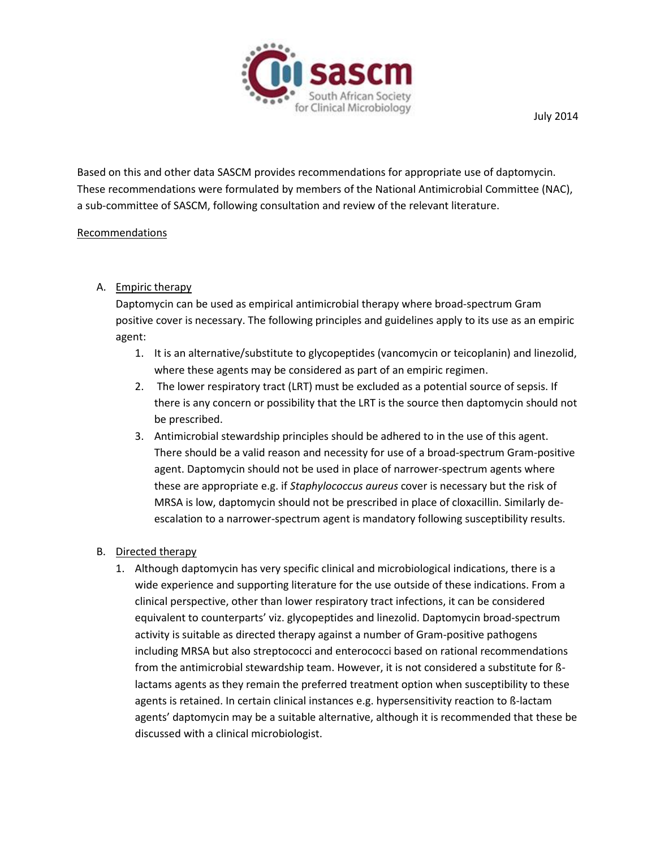

Based on this and other data SASCM provides recommendations for appropriate use of daptomycin. These recommendations were formulated by members of the National Antimicrobial Committee (NAC), a sub-committee of SASCM, following consultation and review of the relevant literature.

#### Recommendations

## A. Empiric therapy

Daptomycin can be used as empirical antimicrobial therapy where broad-spectrum Gram positive cover is necessary. The following principles and guidelines apply to its use as an empiric agent:

- 1. It is an alternative/substitute to glycopeptides (vancomycin or teicoplanin) and linezolid, where these agents may be considered as part of an empiric regimen.
- 2. The lower respiratory tract (LRT) must be excluded as a potential source of sepsis. If there is any concern or possibility that the LRT is the source then daptomycin should not be prescribed.
- 3. Antimicrobial stewardship principles should be adhered to in the use of this agent. There should be a valid reason and necessity for use of a broad-spectrum Gram-positive agent. Daptomycin should not be used in place of narrower-spectrum agents where these are appropriate e.g. if *Staphylococcus aureus* cover is necessary but the risk of MRSA is low, daptomycin should not be prescribed in place of cloxacillin. Similarly deescalation to a narrower-spectrum agent is mandatory following susceptibility results.

## B. Directed therapy

1. Although daptomycin has very specific clinical and microbiological indications, there is a wide experience and supporting literature for the use outside of these indications. From a clinical perspective, other than lower respiratory tract infections, it can be considered equivalent to counterparts' viz. glycopeptides and linezolid. Daptomycin broad-spectrum activity is suitable as directed therapy against a number of Gram-positive pathogens including MRSA but also streptococci and enterococci based on rational recommendations from the antimicrobial stewardship team. However, it is not considered a substitute for ßlactams agents as they remain the preferred treatment option when susceptibility to these agents is retained. In certain clinical instances e.g. hypersensitivity reaction to ß-lactam agents' daptomycin may be a suitable alternative, although it is recommended that these be discussed with a clinical microbiologist.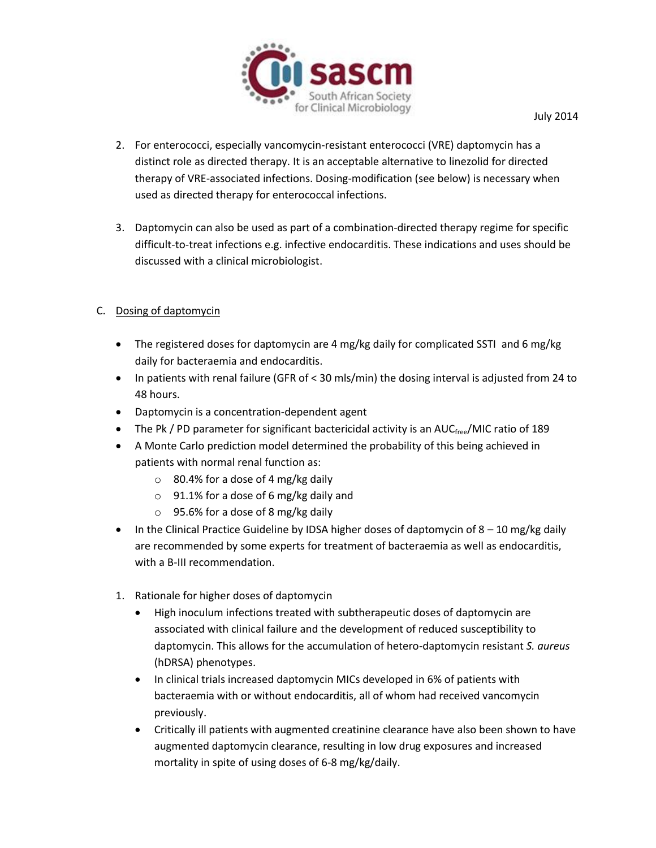

- 2. For enterococci, especially vancomycin-resistant enterococci (VRE) daptomycin has a distinct role as directed therapy. It is an acceptable alternative to linezolid for directed therapy of VRE-associated infections. Dosing-modification (see below) is necessary when used as directed therapy for enterococcal infections.
- 3. Daptomycin can also be used as part of a combination-directed therapy regime for specific difficult-to-treat infections e.g. infective endocarditis. These indications and uses should be discussed with a clinical microbiologist.

## C. Dosing of daptomycin

- The registered doses for daptomycin are 4 mg/kg daily for complicated SSTI and 6 mg/kg daily for bacteraemia and endocarditis.
- $\bullet$  In patients with renal failure (GFR of < 30 mls/min) the dosing interval is adjusted from 24 to 48 hours.
- Daptomycin is a concentration-dependent agent
- The Pk / PD parameter for significant bactericidal activity is an AUC $_{\text{free}}$ /MIC ratio of 189
- A Monte Carlo prediction model determined the probability of this being achieved in patients with normal renal function as:
	- o 80.4% for a dose of 4 mg/kg daily
	- $\circ$  91.1% for a dose of 6 mg/kg daily and
	- o 95.6% for a dose of 8 mg/kg daily
- $\bullet$  In the Clinical Practice Guideline by IDSA higher doses of daptomycin of 8 10 mg/kg daily are recommended by some experts for treatment of bacteraemia as well as endocarditis, with a B-III recommendation.
- 1. Rationale for higher doses of daptomycin
	- High inoculum infections treated with subtherapeutic doses of daptomycin are associated with clinical failure and the development of reduced susceptibility to daptomycin. This allows for the accumulation of hetero-daptomycin resistant *S. aureus*  (hDRSA) phenotypes.
	- In clinical trials increased daptomycin MICs developed in 6% of patients with bacteraemia with or without endocarditis, all of whom had received vancomycin previously.
	- Critically ill patients with augmented creatinine clearance have also been shown to have augmented daptomycin clearance, resulting in low drug exposures and increased mortality in spite of using doses of 6-8 mg/kg/daily.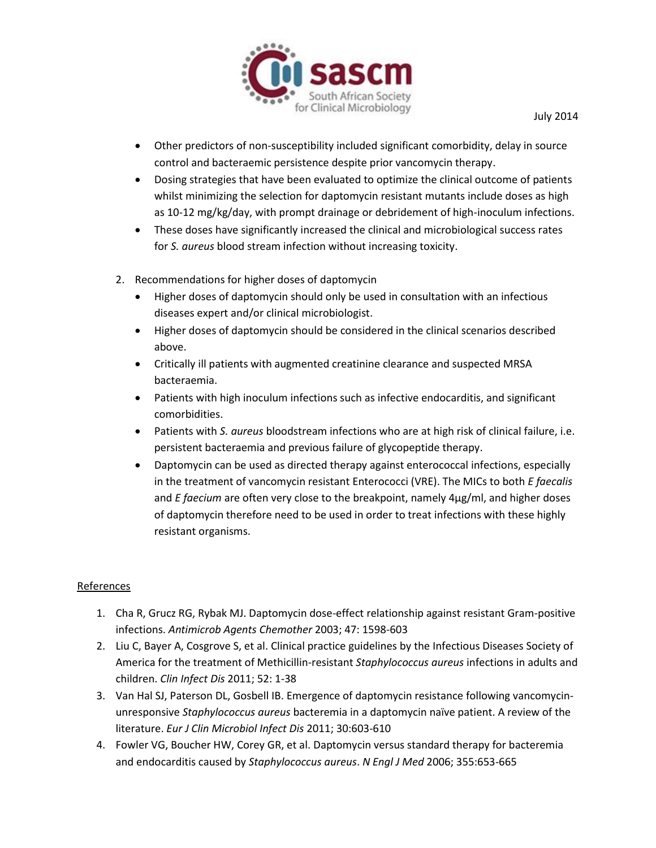

- Other predictors of non-susceptibility included significant comorbidity, delay in source control and bacteraemic persistence despite prior vancomycin therapy.
- Dosing strategies that have been evaluated to optimize the clinical outcome of patients whilst minimizing the selection for daptomycin resistant mutants include doses as high as 10-12 mg/kg/day, with prompt drainage or debridement of high-inoculum infections.
- These doses have significantly increased the clinical and microbiological success rates for *S. aureus* blood stream infection without increasing toxicity.
- 2. Recommendations for higher doses of daptomycin
	- Higher doses of daptomycin should only be used in consultation with an infectious diseases expert and/or clinical microbiologist.
	- Higher doses of daptomycin should be considered in the clinical scenarios described above.
	- Critically ill patients with augmented creatinine clearance and suspected MRSA bacteraemia.
	- Patients with high inoculum infections such as infective endocarditis, and significant comorbidities.
	- Patients with *S. aureus* bloodstream infections who are at high risk of clinical failure, i.e. persistent bacteraemia and previous failure of glycopeptide therapy.
	- Daptomycin can be used as directed therapy against enterococcal infections, especially in the treatment of vancomycin resistant Enterococci (VRE). The MICs to both *E faecalis*  and *E faecium* are often very close to the breakpoint, namely 4µg/ml, and higher doses of daptomycin therefore need to be used in order to treat infections with these highly resistant organisms.

## References

- 1. Cha R, Grucz RG, Rybak MJ. Daptomycin dose-effect relationship against resistant Gram-positive infections. *Antimicrob Agents Chemother* 2003; 47: 1598-603
- 2. Liu C, Bayer A, Cosgrove S, et al. Clinical practice guidelines by the Infectious Diseases Society of America for the treatment of Methicillin-resistant *Staphylococcus aureus* infections in adults and children. *Clin Infect Dis* 2011; 52: 1-38
- 3. Van Hal SJ, Paterson DL, Gosbell IB. Emergence of daptomycin resistance following vancomycinunresponsive *Staphylococcus aureus* bacteremia in a daptomycin naïve patient. A review of the literature. *Eur J Clin Microbiol Infect Dis* 2011; 30:603-610
- 4. Fowler VG, Boucher HW, Corey GR, et al. Daptomycin versus standard therapy for bacteremia and endocarditis caused by *Staphylococcus aureus*. *N Engl J Med* 2006; 355:653-665